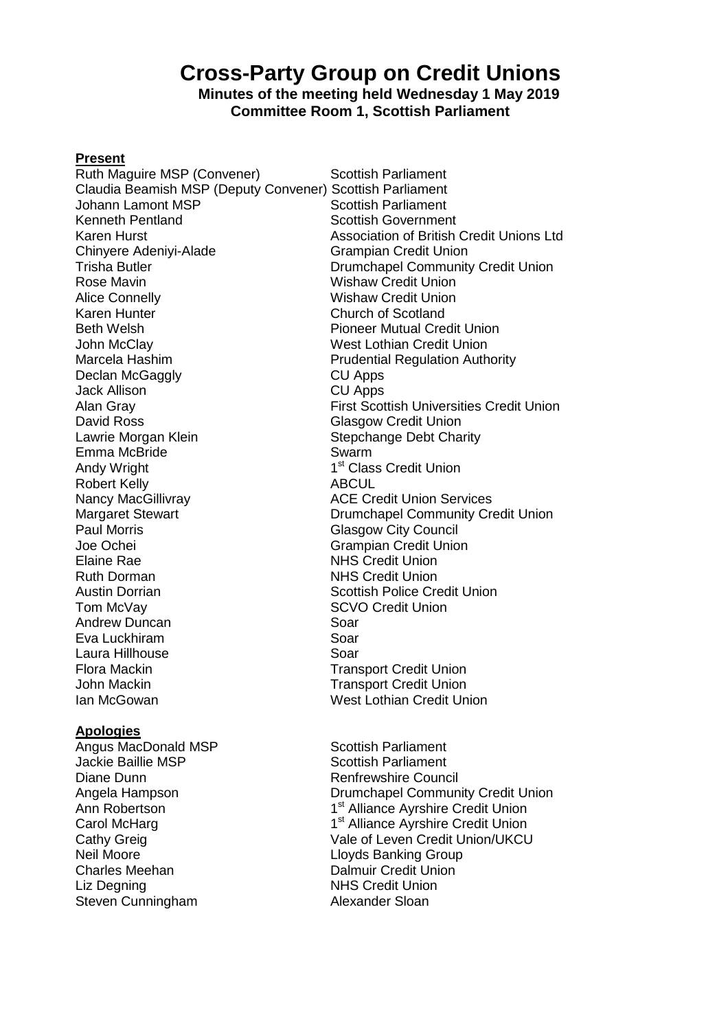# **Cross-Party Group on Credit Unions**

# **Minutes of the meeting held Wednesday 1 May 2019 Committee Room 1, Scottish Parliament**

### **Present**

Ruth Maguire MSP (Convener) Scottish Parliament Claudia Beamish MSP (Deputy Convener) Scottish Parliament Johann Lamont MSP<br>
Kenneth Pentland<br>
Scottish Governmer Kenneth Pentland<br>
Karen Hurst Contains and Scottish Government<br>
Scottish of British Rose Mavin North Wishaw Credit Union Alice Connelly **Mishaw Credit Union** Karen Hunter **Church of Scotland**<br>Beth Welsh **Church of Scotland**<br>Pioneer Mutual Cre Beth Welsh **Pioneer Mutual Credit Union**<br>
John McClav **Philosophy West Lothian Credit Union** John McClay **West Lothian Credit Union**<br>Marcela Hashim **Marcela Hashim** Prudential Regulation Auth Declan McGaggly **CU Apps** Jack Allison CU Apps David Ross Glasgow Credit Union Lawrie Morgan Klein **Stepchange Debt Charity** Emma McBride Swarm Andy Wright 1 Robert Kelly **ABCUL** Nancy MacGillivray **ACE Credit Union Services** Joe Ochei Grampian Credit Union Elaine Rae NHS Credit Union Ruth Dorman NHS Credit Union Austin Dorrian Nation Scottish Police Credit Union Tom McVay **SCVO** Credit Union Andrew Duncan Soar Eva Luckhiram Soar Laura Hillhouse Soar Flora Mackin Transport Credit Union John Mackin Nackin Transport Credit Union Ian McGowan West Lothian Credit Union

#### **Apologies**

Angus MacDonald MSP Scottish Parliament Jackie Baillie MSP Scottish Parliament Diane Dunn **Diane Council** Renfrewshire Council Ann Robertson 1 Carol McHarg Neil Moore Lloyds Banking Group Charles Meehan Dalmuir Credit Union Liz Degning **NHS** Credit Union Steven Cunningham **Alexander Sloan** 

Karen Hurst<br>
Chinyere Adeniyi-Alade **Artic Australian Credit Union**<br>
Grampian Credit Union Grampian Credit Union Trisha Butler Drumchapel Community Credit Union **Prudential Regulation Authority** Alan Gray First Scottish Universities Credit Union 1<sup>st</sup> Class Credit Union Margaret Stewart **National Community Credit Union**<br>
Paul Morris **Community Credit Union**<br>
Glasgow City Council **Glasgow City Council** 

Angela Hampson Drumchapel Community Credit Union 1<sup>st</sup> Alliance Ayrshire Credit Union 1<sup>st</sup> Alliance Ayrshire Credit Union Cathy Greig Cathy Greig Cathy Credit Union/UKCU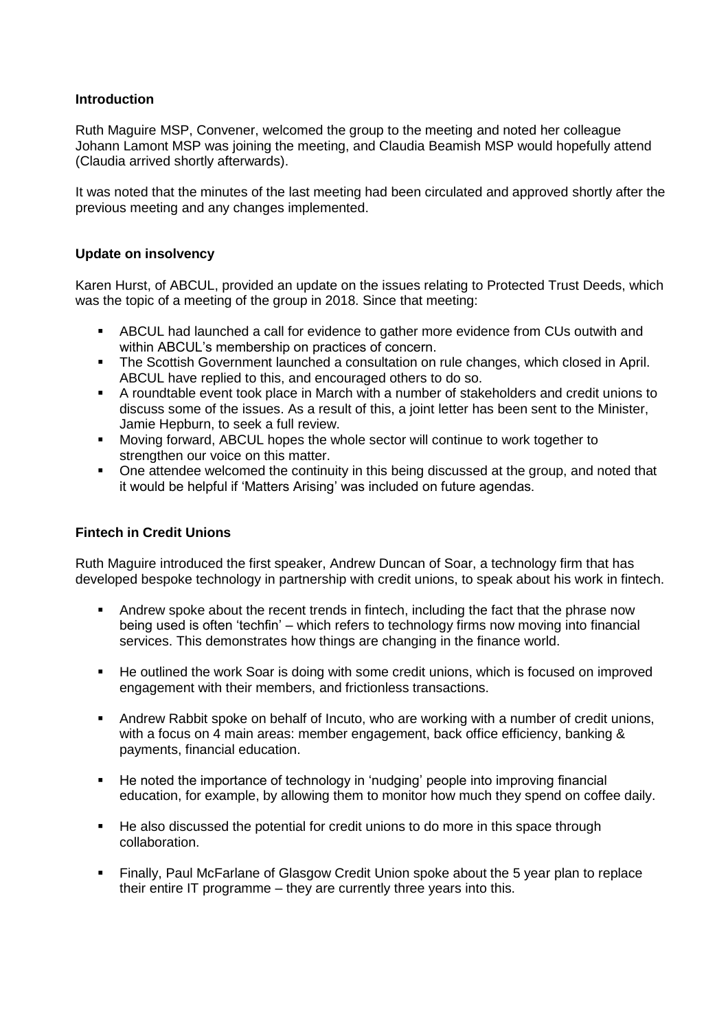# **Introduction**

Ruth Maguire MSP, Convener, welcomed the group to the meeting and noted her colleague Johann Lamont MSP was joining the meeting, and Claudia Beamish MSP would hopefully attend (Claudia arrived shortly afterwards).

It was noted that the minutes of the last meeting had been circulated and approved shortly after the previous meeting and any changes implemented.

## **Update on insolvency**

Karen Hurst, of ABCUL, provided an update on the issues relating to Protected Trust Deeds, which was the topic of a meeting of the group in 2018. Since that meeting:

- ABCUL had launched a call for evidence to gather more evidence from CUs outwith and within ABCUL's membership on practices of concern.
- The Scottish Government launched a consultation on rule changes, which closed in April. ABCUL have replied to this, and encouraged others to do so.
- A roundtable event took place in March with a number of stakeholders and credit unions to discuss some of the issues. As a result of this, a joint letter has been sent to the Minister, Jamie Hepburn, to seek a full review.
- Moving forward, ABCUL hopes the whole sector will continue to work together to strengthen our voice on this matter.
- One attendee welcomed the continuity in this being discussed at the group, and noted that it would be helpful if 'Matters Arising' was included on future agendas.

## **Fintech in Credit Unions**

Ruth Maguire introduced the first speaker, Andrew Duncan of Soar, a technology firm that has developed bespoke technology in partnership with credit unions, to speak about his work in fintech.

- Andrew spoke about the recent trends in fintech, including the fact that the phrase now being used is often 'techfin' – which refers to technology firms now moving into financial services. This demonstrates how things are changing in the finance world.
- He outlined the work Soar is doing with some credit unions, which is focused on improved engagement with their members, and frictionless transactions.
- Andrew Rabbit spoke on behalf of Incuto, who are working with a number of credit unions, with a focus on 4 main areas: member engagement, back office efficiency, banking & payments, financial education.
- He noted the importance of technology in 'nudging' people into improving financial education, for example, by allowing them to monitor how much they spend on coffee daily.
- He also discussed the potential for credit unions to do more in this space through collaboration.
- **Finally, Paul McFarlane of Glasgow Credit Union spoke about the 5 year plan to replace** their entire IT programme – they are currently three years into this.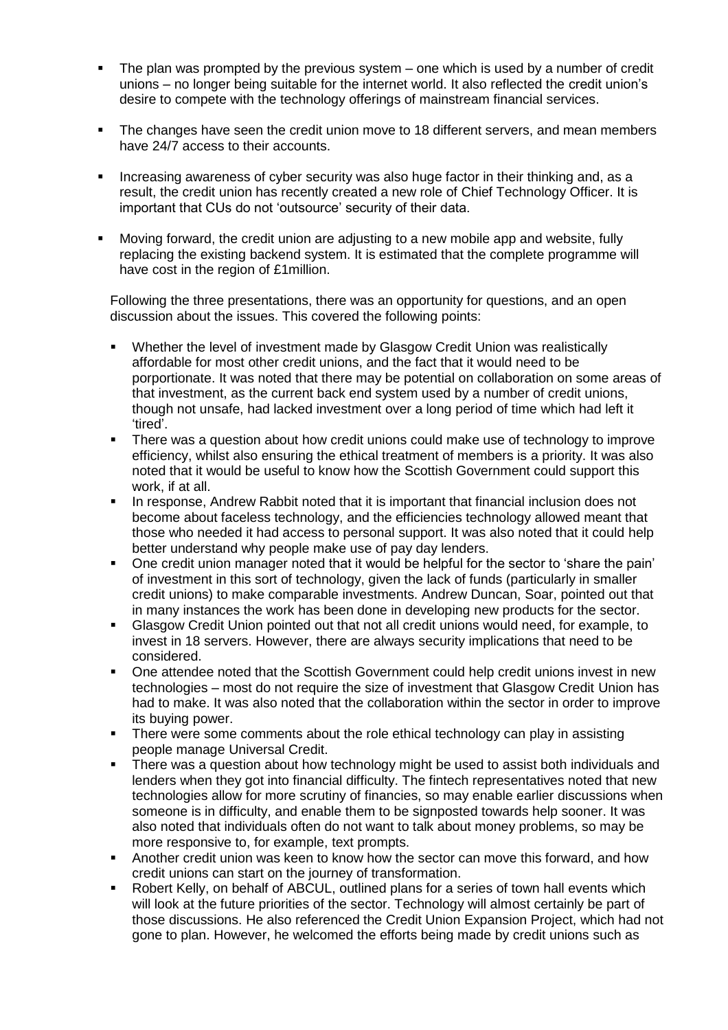- The plan was prompted by the previous system one which is used by a number of credit unions – no longer being suitable for the internet world. It also reflected the credit union's desire to compete with the technology offerings of mainstream financial services.
- **The changes have seen the credit union move to 18 different servers, and mean members** have 24/7 access to their accounts.
- Increasing awareness of cyber security was also huge factor in their thinking and, as a result, the credit union has recently created a new role of Chief Technology Officer. It is important that CUs do not 'outsource' security of their data.
- Moving forward, the credit union are adjusting to a new mobile app and website, fully replacing the existing backend system. It is estimated that the complete programme will have cost in the region of £1million.

Following the three presentations, there was an opportunity for questions, and an open discussion about the issues. This covered the following points:

- Whether the level of investment made by Glasgow Credit Union was realistically affordable for most other credit unions, and the fact that it would need to be porportionate. It was noted that there may be potential on collaboration on some areas of that investment, as the current back end system used by a number of credit unions, though not unsafe, had lacked investment over a long period of time which had left it 'tired'.
- There was a question about how credit unions could make use of technology to improve efficiency, whilst also ensuring the ethical treatment of members is a priority. It was also noted that it would be useful to know how the Scottish Government could support this work, if at all.
- In response, Andrew Rabbit noted that it is important that financial inclusion does not become about faceless technology, and the efficiencies technology allowed meant that those who needed it had access to personal support. It was also noted that it could help better understand why people make use of pay day lenders.
- One credit union manager noted that it would be helpful for the sector to 'share the pain' of investment in this sort of technology, given the lack of funds (particularly in smaller credit unions) to make comparable investments. Andrew Duncan, Soar, pointed out that in many instances the work has been done in developing new products for the sector.
- Glasgow Credit Union pointed out that not all credit unions would need, for example, to invest in 18 servers. However, there are always security implications that need to be considered.
- One attendee noted that the Scottish Government could help credit unions invest in new technologies – most do not require the size of investment that Glasgow Credit Union has had to make. It was also noted that the collaboration within the sector in order to improve its buying power.
- There were some comments about the role ethical technology can play in assisting people manage Universal Credit.
- There was a question about how technology might be used to assist both individuals and lenders when they got into financial difficulty. The fintech representatives noted that new technologies allow for more scrutiny of financies, so may enable earlier discussions when someone is in difficulty, and enable them to be signposted towards help sooner. It was also noted that individuals often do not want to talk about money problems, so may be more responsive to, for example, text prompts.
- Another credit union was keen to know how the sector can move this forward, and how credit unions can start on the journey of transformation.
- Robert Kelly, on behalf of ABCUL, outlined plans for a series of town hall events which will look at the future priorities of the sector. Technology will almost certainly be part of those discussions. He also referenced the Credit Union Expansion Project, which had not gone to plan. However, he welcomed the efforts being made by credit unions such as